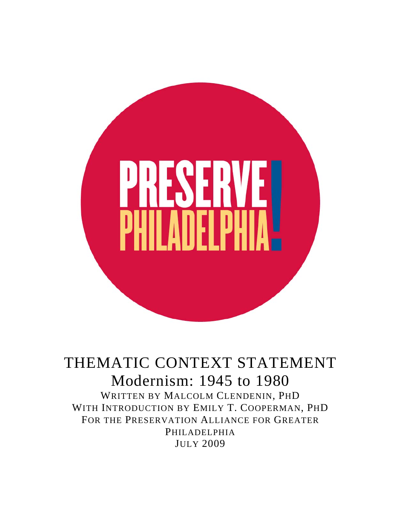

THEMATIC CONTEXT STATEMENT Modernism: 1945 to 1980 WRITTEN BY MALCOLM CLENDENIN, PHD WITH INTRODUCTION BY EMILY T. COOPERMAN, PHD FOR THE PRESERVATION ALLIANCE FOR GREATER PHILADELPHIA JULY 2009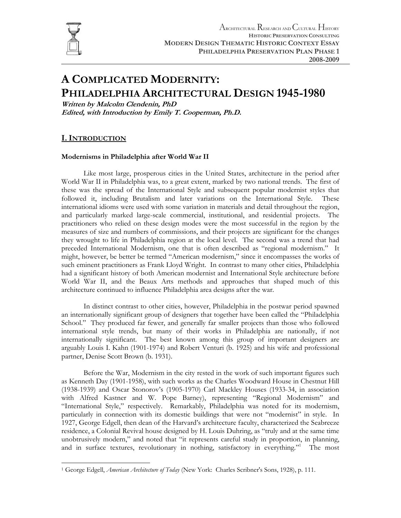

l

# **A COMPLICATED MODERNITY: PHILADELPHIA ARCHITECTURAL DESIGN 1945-1980**

**Written by Malcolm Clendenin, PhD Edited, with Introduction by Emily T. Cooperman, Ph.D.** 

## **I.INTRODUCTION**

#### **Modernisms in Philadelphia after World War II**

Like most large, prosperous cities in the United States, architecture in the period after World War II in Philadelphia was, to a great extent, marked by two national trends. The first of these was the spread of the International Style and subsequent popular modernist styles that followed it, including Brutalism and later variations on the International Style. These international idioms were used with some variation in materials and detail throughout the region, and particularly marked large-scale commercial, institutional, and residential projects. The practitioners who relied on these design modes were the most successful in the region by the measures of size and numbers of commissions, and their projects are significant for the changes they wrought to life in Philadelphia region at the local level. The second was a trend that had preceded International Modernism, one that is often described as "regional modernism." It might, however, be better be termed "American modernism," since it encompasses the works of such eminent practitioners as Frank Lloyd Wright. In contrast to many other cities, Philadelphia had a significant history of both American modernist and International Style architecture before World War II, and the Beaux Arts methods and approaches that shaped much of this architecture continued to influence Philadelphia area designs after the war.

In distinct contrast to other cities, however, Philadelphia in the postwar period spawned an internationally significant group of designers that together have been called the "Philadelphia School." They produced far fewer, and generally far smaller projects than those who followed international style trends, but many of their works in Philadelphia are nationally, if not internationally significant. The best known among this group of important designers are arguably Louis I. Kahn (1901-1974) and Robert Venturi (b. 1925) and his wife and professional partner, Denise Scott Brown (b. 1931).

Before the War, Modernism in the city rested in the work of such important figures such as Kenneth Day (1901-1958), with such works as the Charles Woodward House in Chestnut Hill (1938-1939) and Oscar Stonorov's (1905-1970) Carl Mackley Houses (1933-34, in association with Alfred Kastner and W. Pope Barney), representing "Regional Modernism" and "International Style," respectively. Remarkably, Philadelphia was noted for its modernism, particularly in connection with its domestic buildings that were not "modernist" in style. In 1927, George Edgell, then dean of the Harvard's architecture faculty, characterized the Seabreeze residence, a Colonial Revival house designed by H. Louis Duhring, as "truly and at the same time unobtrusively modern," and noted that "it represents careful study in proportion, in planning, and in surface textures, revolutionary in nothing, satisfactory in everything." The most

<sup>1</sup> George Edgell, *American Architecture of Today* (New York: Charles Scribner's Sons, 1928), p. 111.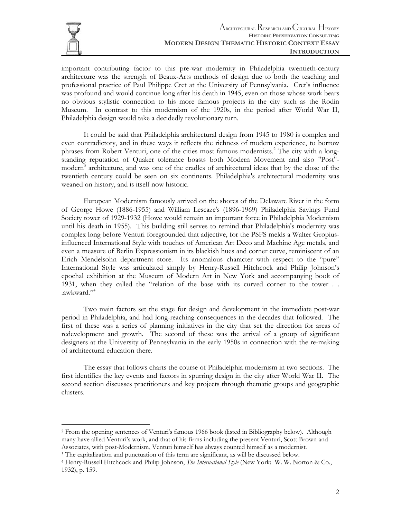

l

important contributing factor to this pre-war modernity in Philadelphia twentieth-century architecture was the strength of Beaux-Arts methods of design due to both the teaching and professional practice of Paul Philippe Cret at the University of Pennsylvania. Cret's influence was profound and would continue long after his death in 1945, even on those whose work bears no obvious stylistic connection to his more famous projects in the city such as the Rodin Museum. In contrast to this modernism of the 1920s, in the period after World War II, Philadelphia design would take a decidedly revolutionary turn.

It could be said that Philadelphia architectural design from 1945 to 1980 is complex and even contradictory, and in these ways it reflects the richness of modern experience, to borrow phrases from Robert Venturi, one of the cities most famous modernists.<sup>2</sup> The city with a longstanding reputation of Quaker tolerance boasts both Modern Movement and also "Post" modern<sup>3</sup> architecture, and was one of the cradles of architectural ideas that by the close of the twentieth century could be seen on six continents. Philadelphia's architectural modernity was weaned on history, and is itself now historic.

European Modernism famously arrived on the shores of the Delaware River in the form of George Howe (1886-1955) and William Lescaze's (1896-1969) Philadelphia Savings Fund Society tower of 1929-1932 (Howe would remain an important force in Philadelphia Modernism until his death in 1955). This building still serves to remind that Philadelphia's modernity was complex long before Venturi foregrounded that adjective, for the PSFS melds a Walter Gropiusinfluenced International Style with touches of American Art Deco and Machine Age metals, and even a measure of Berlin Expressionism in its blackish hues and corner curve, reminiscent of an Erich Mendelsohn department store. Its anomalous character with respect to the "pure" International Style was articulated simply by Henry-Russell Hitchcock and Philip Johnson's epochal exhibition at the Museum of Modern Art in New York and accompanying book of 1931, when they called the "relation of the base with its curved corner to the tower . . .awkward."4

Two main factors set the stage for design and development in the immediate post-war period in Philadelphia, and had long-reaching consequences in the decades that followed. The first of these was a series of planning initiatives in the city that set the direction for areas of redevelopment and growth. The second of these was the arrival of a group of significant designers at the University of Pennsylvania in the early 1950s in connection with the re-making of architectural education there.

The essay that follows charts the course of Philadelphia modernism in two sections. The first identifies the key events and factors in spurring design in the city after World War II. The second section discusses practitioners and key projects through thematic groups and geographic clusters.

<sup>2</sup> From the opening sentences of Venturi's famous 1966 book (listed in Bibliography below). Although many have allied Venturi's work, and that of his firms including the present Venturi, Scott Brown and Associates, with post-Modernism, Venturi himself has always counted himself as a modernist.

<sup>&</sup>lt;sup>3</sup> The capitalization and punctuation of this term are significant, as will be discussed below.

<sup>4</sup> Henry-Russell Hitchcock and Philip Johnson, *The International Style* (New York: W. W. Norton & Co., 1932), p. 159.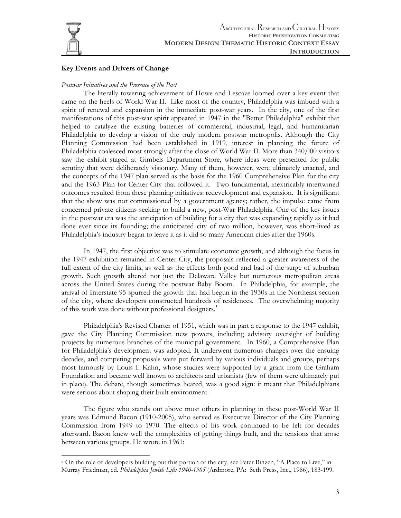

## **Key Events and Drivers of Change**

#### *Postwar Initiatives and the Presence of the Past*

The literally towering achievement of Howe and Lescaze loomed over a key event that came on the heels of World War II. Like most of the country, Philadelphia was imbued with a spirit of renewal and expansion in the immediate post-war years. In the city, one of the first manifestations of this post-war spirit appeared in 1947 in the "Better Philadelphia" exhibit that helped to catalyze the existing batteries of commercial, industrial, legal, and humanitarian Philadelphia to develop a vision of the truly modern postwar metropolis. Although the City Planning Commission had been established in 1919, interest in planning the future of Philadelphia coalesced most strongly after the close of World War II. More than 340,000 visitors saw the exhibit staged at Gimbels Department Store, where ideas were presented for public scrutiny that were deliberately visionary. Many of them, however, were ultimately enacted, and the concepts of the 1947 plan served as the basis for the 1960 Comprehensive Plan for the city and the 1963 Plan for Center City that followed it. Two fundamental, inextricably intertwined outcomes resulted from these planning initiatives: redevelopment and expansion. It is significant that the show was not commissioned by a government agency; rather, the impulse came from concerned private citizens seeking to build a new, post-War Philadelphia. One of the key issues in the postwar era was the anticipation of building for a city that was expanding rapidly as it had done ever since its founding; the anticipated city of two million, however, was short-lived as Philadelphia's industry began to leave it as it did so many American cities after the 1960s.

In 1947, the first objective was to stimulate economic growth, and although the focus in the 1947 exhibition remained in Center City, the proposals reflected a greater awareness of the full extent of the city limits, as well as the effects both good and bad of the surge of suburban growth. Such growth altered not just the Delaware Valley but numerous metropolitan areas across the United States during the postwar Baby Boom. In Philadelphia, for example, the arrival of Interstate 95 spurred the growth that had begun in the 1930s in the Northeast section of the city, where developers constructed hundreds of residences. The overwhelming majority of this work was done without professional designers.<sup>5</sup>

Philadelphia's Revised Charter of 1951, which was in part a response to the 1947 exhibit, gave the City Planning Commission new powers, including advisory oversight of building projects by numerous branches of the municipal government. In 1960, a Comprehensive Plan for Philadelphia's development was adopted. It underwent numerous changes over the ensuing decades, and competing proposals were put forward by various individuals and groups, perhaps most famously by Louis I. Kahn, whose studies were supported by a grant from the Graham Foundation and became well known to architects and urbanists (few of them were ultimately put in place). The debate, though sometimes heated, was a good sign: it meant that Philadelphians were serious about shaping their built environment.

The figure who stands out above most others in planning in these post-World War II years was Edmund Bacon (1910-2005), who served as Executive Director of the City Planning Commission from 1949 to 1970. The effects of his work continued to be felt for decades afterward. Bacon knew well the complexities of getting things built, and the tensions that arose between various groups. He wrote in 1961:

<sup>5</sup> On the role of developers building out this portion of the city, see Peter Binzen, "A Place to Live," in Murray Friedman, ed. *Philadelphia Jewish Life: 1940-1985* (Ardmore, PA: Seth Press, Inc., 1986), 183-199.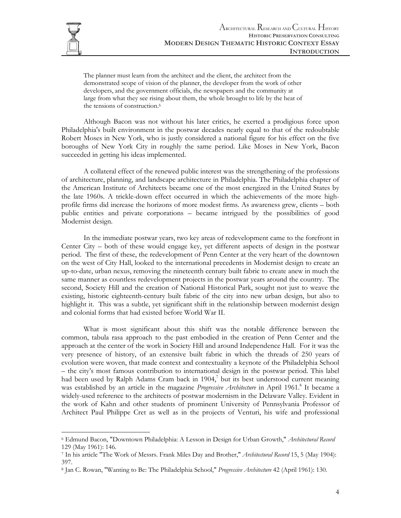

The planner must learn from the architect and the client, the architect from the demonstrated scope of vision of the planner, the developer from the work of other developers, and the government officials, the newspapers and the community at large from what they see rising about them, the whole brought to life by the heat of the tensions of construction.6

Although Bacon was not without his later critics, he exerted a prodigious force upon Philadelphia's built environment in the postwar decades nearly equal to that of the redoubtable Robert Moses in New York, who is justly considered a national figure for his effect on the five boroughs of New York City in roughly the same period. Like Moses in New York, Bacon succeeded in getting his ideas implemented.

A collateral effect of the renewed public interest was the strengthening of the professions of architecture, planning, and landscape architecture in Philadelphia. The Philadelphia chapter of the American Institute of Architects became one of the most energized in the United States by the late 1960s. A trickle-down effect occurred in which the achievements of the more highprofile firms did increase the horizons of more modest firms. As awareness grew, clients – both public entities and private corporations – became intrigued by the possibilities of good Modernist design.

In the immediate postwar years, two key areas of redevelopment came to the forefront in Center City – both of these would engage key, yet different aspects of design in the postwar period. The first of these, the redevelopment of Penn Center at the very heart of the downtown on the west of City Hall, looked to the international precedents in Modernist design to create an up-to-date, urban nexus, removing the nineteenth century built fabric to create anew in much the same manner as countless redevelopment projects in the postwar years around the country. The second, Society Hill and the creation of National Historical Park, sought not just to weave the existing, historic eighteenth-century built fabric of the city into new urban design, but also to highlight it. This was a subtle, yet significant shift in the relationship between modernist design and colonial forms that had existed before World War II.

What is most significant about this shift was the notable difference between the common, tabula rasa approach to the past embodied in the creation of Penn Center and the approach at the center of the work in Society Hill and around Independence Hall. For it was the very presence of history, of an extensive built fabric in which the threads of 250 years of evolution were woven, that made context and contextuality a keynote of the Philadelphia School – the city's most famous contribution to international design in the postwar period. This label had been used by Ralph Adams Cram back in 1904,<sup>7</sup> but its best understood current meaning was established by an article in the magazine *Progressive Architecture* in April 1961.<sup>8</sup> It became a widely-used reference to the architects of postwar modernism in the Delaware Valley. Evident in the work of Kahn and other students of prominent University of Pennsylvania Professor of Architect Paul Philippe Cret as well as in the projects of Venturi, his wife and professional

<sup>6</sup> Edmund Bacon, "Downtown Philadelphia: A Lesson in Design for Urban Growth," *Architectural Record*  129 (May 1961): 146.

<sup>7</sup> In his article "The Work of Messrs. Frank Miles Day and Brother," *Architectural Record* 15, 5 (May 1904): 397.

<sup>8</sup> Jan C. Rowan, "Wanting to Be: The Philadelphia School," *Progressive Architecture* 42 (April 1961): 130.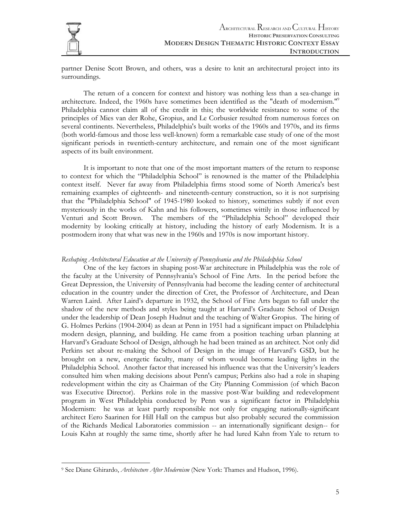

partner Denise Scott Brown, and others, was a desire to knit an architectural project into its surroundings.

The return of a concern for context and history was nothing less than a sea-change in architecture. Indeed, the 1960s have sometimes been identified as the "death of modernism."<sup>9</sup> Philadelphia cannot claim all of the credit in this; the worldwide resistance to some of the principles of Mies van der Rohe, Gropius, and Le Corbusier resulted from numerous forces on several continents. Nevertheless, Philadelphia's built works of the 1960s and 1970s, and its firms (both world-famous and those less well-known) form a remarkable case study of one of the most significant periods in twentieth-century architecture, and remain one of the most significant aspects of its built environment.

It is important to note that one of the most important matters of the return to response to context for which the "Philadelphia School" is renowned is the matter of the Philadelphia context itself. Never far away from Philadelphia firms stood some of North America's best remaining examples of eighteenth- and nineteenth-century construction, so it is not surprising that the "Philadelphia School" of 1945-1980 looked to history, sometimes subtly if not even mysteriously in the works of Kahn and his followers, sometimes wittily in those influenced by Venturi and Scott Brown. The members of the "Philadelphia School" developed their modernity by looking critically at history, including the history of early Modernism. It is a postmodern irony that what was new in the 1960s and 1970s is now important history.

#### *Reshaping Architectural Education at the University of Pennsylvania and the Philadelphia School*

One of the key factors in shaping post-War architecture in Philadelphia was the role of the faculty at the University of Pennsylvania's School of Fine Arts. In the period before the Great Depression, the University of Pennsylvania had become the leading center of architectural education in the country under the direction of Cret, the Professor of Architecture, and Dean Warren Laird. After Laird's departure in 1932, the School of Fine Arts began to fall under the shadow of the new methods and styles being taught at Harvard's Graduate School of Design under the leadership of Dean Joseph Hudnut and the teaching of Walter Gropius. The hiring of G. Holmes Perkins (1904-2004) as dean at Penn in 1951 had a significant impact on Philadelphia modern design, planning, and building. He came from a position teaching urban planning at Harvard's Graduate School of Design, although he had been trained as an architect. Not only did Perkins set about re-making the School of Design in the image of Harvard's GSD, but he brought on a new, energetic faculty, many of whom would become leading lights in the Philadelphia School. Another factor that increased his influence was that the University's leaders consulted him when making decisions about Penn's campus; Perkins also had a role in shaping redevelopment within the city as Chairman of the City Planning Commission (of which Bacon was Executive Director). Perkins role in the massive post-War building and redevelopment program in West Philadelphia conducted by Penn was a significant factor in Philadelphia Modernism: he was at least partly responsible not only for engaging nationally-significant architect Eero Saarinen for Hill Hall on the campus but also probably secured the commission of the Richards Medical Laboratories commission -- an internationally significant design-- for Louis Kahn at roughly the same time, shortly after he had lured Kahn from Yale to return to

<sup>9</sup> See Diane Ghirardo, *Architecture After Modernism* (New York: Thames and Hudson, 1996).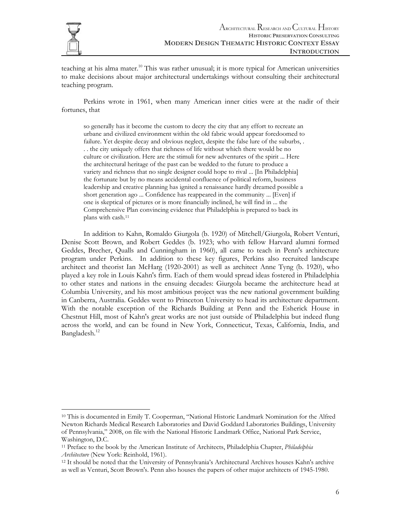

teaching at his alma mater.<sup>10</sup> This was rather unusual; it is more typical for American universities to make decisions about major architectural undertakings without consulting their architectural teaching program.

Perkins wrote in 1961, when many American inner cities were at the nadir of their fortunes, that

so generally has it become the custom to decry the city that any effort to recreate an urbane and civilized environment within the old fabric would appear foredoomed to failure. Yet despite decay and obvious neglect, despite the false lure of the suburbs, . . . the city uniquely offers that richness of life without which there would be no culture or civilization. Here are the stimuli for new adventures of the spirit ... Here the architectural heritage of the past can be wedded to the future to produce a variety and richness that no single designer could hope to rival ... [In Philadelphia] the fortunate but by no means accidental confluence of political reform, business leadership and creative planning has ignited a renaissance hardly dreamed possible a short generation ago ... Confidence has reappeared in the community ... [Even] if one is skeptical of pictures or is more financially inclined, he will find in ... the Comprehensive Plan convincing evidence that Philadelphia is prepared to back its plans with cash.11

In addition to Kahn, Romaldo Giurgola (b. 1920) of Mitchell/Giurgola, Robert Venturi, Denise Scott Brown, and Robert Geddes (b. 1923; who with fellow Harvard alumni formed Geddes, Brecher, Qualls and Cunningham in 1960), all came to teach in Penn's architecture program under Perkins. In addition to these key figures, Perkins also recruited landscape architect and theorist Ian McHarg (1920-2001) as well as architect Anne Tyng (b. 1920), who played a key role in Louis Kahn's firm. Each of them would spread ideas fostered in Philadelphia to other states and nations in the ensuing decades: Giurgola became the architecture head at Columbia University, and his most ambitious project was the new national government building in Canberra, Australia. Geddes went to Princeton University to head its architecture department. With the notable exception of the Richards Building at Penn and the Esherick House in Chestnut Hill, most of Kahn's great works are not just outside of Philadelphia but indeed flung across the world, and can be found in New York, Connecticut, Texas, California, India, and Bangladesh.<sup>12</sup>

<sup>10</sup> This is documented in Emily T. Cooperman, "National Historic Landmark Nomination for the Alfred Newton Richards Medical Research Laboratories and David Goddard Laboratories Buildings, University of Pennsylvania," 2008, on file with the National Historic Landmark Office, National Park Service, Washington, D.C.

<sup>11</sup> Preface to the book by the American Institute of Architects, Philadelphia Chapter, *Philadelphia Architecture* (New York: Reinhold, 1961). 12 It should be noted that the University of Pennsylvania's Architectural Archives houses Kahn's archive

as well as Venturi, Scott Brown's. Penn also houses the papers of other major architects of 1945-1980.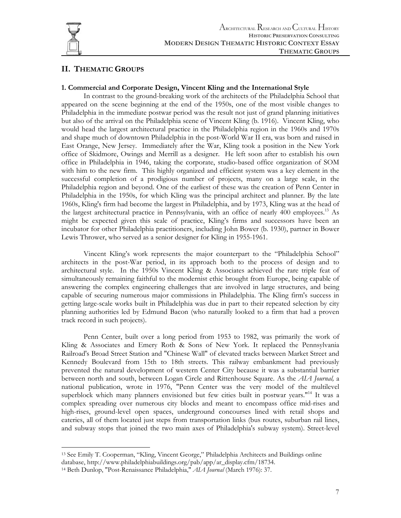

## **II. THEMATIC GROUPS**

#### **1. Commercial and Corporate Design, Vincent Kling and the International Style**

In contrast to the ground-breaking work of the architects of the Philadelphia School that appeared on the scene beginning at the end of the 1950s, one of the most visible changes to Philadelphia in the immediate postwar period was the result not just of grand planning initiatives but also of the arrival on the Philadelphia scene of Vincent Kling (b. 1916). Vincent Kling, who would head the largest architectural practice in the Philadelphia region in the 1960s and 1970s and shape much of downtown Philadelphia in the post-World War II era, was born and raised in East Orange, New Jersey. Immediately after the War, Kling took a position in the New York office of Skidmore, Owings and Merrill as a designer. He left soon after to establish his own office in Philadelphia in 1946, taking the corporate, studio-based office organization of SOM with him to the new firm. This highly organized and efficient system was a key element in the successful completion of a prodigious number of projects, many on a large scale, in the Philadelphia region and beyond. One of the earliest of these was the creation of Penn Center in Philadelphia in the 1950s, for which Kling was the principal architect and planner. By the late 1960s, Kling's firm had become the largest in Philadelphia, and by 1973, Kling was at the head of the largest architectural practice in Pennsylvania, with an office of nearly 400 employees.<sup>13</sup> As might be expected given this scale of practice, Kling's firms and successors have been an incubator for other Philadelphia practitioners, including John Bower (b. 1930), partner in Bower Lewis Thrower, who served as a senior designer for Kling in 1955-1961.

Vincent Kling's work represents the major counterpart to the "Philadelphia School" architects in the post-War period, in its approach both to the process of design and to architectural style. In the 1950s Vincent Kling & Associates achieved the rare triple feat of simultaneously remaining faithful to the modernist ethic brought from Europe, being capable of answering the complex engineering challenges that are involved in large structures, and being capable of securing numerous major commissions in Philadelphia. The Kling firm's success in getting large-scale works built in Philadelphia was due in part to their repeated selection by city planning authorities led by Edmund Bacon (who naturally looked to a firm that had a proven track record in such projects).

Penn Center, built over a long period from 1953 to 1982, was primarily the work of Kling & Associates and Emery Roth & Sons of New York. It replaced the Pennsylvania Railroad's Broad Street Station and "Chinese Wall" of elevated tracks between Market Street and Kennedy Boulevard from 15th to 18th streets. This railway embankment had previously prevented the natural development of western Center City because it was a substantial barrier between north and south, between Logan Circle and Rittenhouse Square. As the *AIA Journal,* a national publication, wrote in 1976, "Penn Center was the very model of the multilevel superblock which many planners envisioned but few cities built in postwar years."<sup>14</sup> It was a complex spreading over numerous city blocks and meant to encompass office mid-rises and high-rises, ground-level open spaces, underground concourses lined with retail shops and eateries, all of them located just steps from transportation links (bus routes, suburban rail lines, and subway stops that joined the two main axes of Philadelphia's subway system). Street-level

 $\overline{a}$ 13 See Emily T. Cooperman, "Kling, Vincent George," Philadelphia Architects and Buildings online

database, http://www.philadelphiabuildings.org/pab/app/ar\_display.cfm/18734. 14 Beth Dunlop, "Post-Renaissance Philadelphia," *AIA Journal* (March 1976): 37.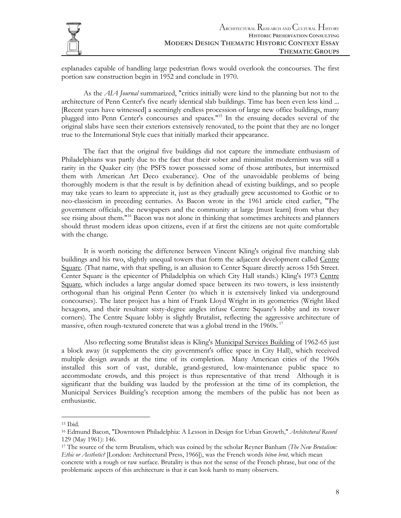

esplanades capable of handling large pedestrian flows would overlook the concourses. The first portion saw construction begin in 1952 and conclude in 1970.

As the *AIA Journal* summarized, "critics initially were kind to the planning but not to the architecture of Penn Center's five nearly identical slab buildings. Time has been even less kind ... [Recent years have witnessed] a seemingly endless procession of large new office buildings, many plugged into Penn Center's concourses and spaces."15 In the ensuing decades several of the original slabs have seen their exteriors extensively renovated, to the point that they are no longer true to the International Style cues that initially marked their appearance.

The fact that the original five buildings did not capture the immediate enthusiasm of Philadelphians was partly due to the fact that their sober and minimalist modernism was still a rarity in the Quaker city (the PSFS tower possessed some of those attributes, but intermixed them with American Art Deco exuberance). One of the unavoidable problems of being thoroughly modern is that the result is by definition ahead of existing buildings, and so people may take years to learn to appreciate it, just as they gradually grew accustomed to Gothic or to neo-classicism in preceding centuries. As Bacon wrote in the 1961 article cited earlier, "The government officials, the newspapers and the community at large [must learn] from what they see rising about them."<sup>16</sup> Bacon was not alone in thinking that sometimes architects and planners should thrust modern ideas upon citizens, even if at first the citizens are not quite comfortable with the change.

It is worth noticing the difference between Vincent Kling's original five matching slab buildings and his two, slightly unequal towers that form the adjacent development called Centre Square. (That name, with that spelling, is an allusion to Center Square directly across 15th Street. Center Square is the epicenter of Philadelphia on which City Hall stands.) Kling's 1973 Centre Square, which includes a large angular domed space between its two towers, is less insistently orthogonal than his original Penn Center (to which it is extensively linked via underground concourses). The later project has a hint of Frank Lloyd Wright in its geometries (Wright liked hexagons, and their resultant sixty-degree angles infuse Centre Square's lobby and its tower corners). The Centre Square lobby is slightly Brutalist, reflecting the aggressive architecture of massive, often rough-textured concrete that was a global trend in the  $1960s$ .<sup>17</sup>

Also reflecting some Brutalist ideas is Kling's Municipal Services Building of 1962-65 just a block away (it supplements the city government's office space in City Hall), which received multiple design awards at the time of its completion. Many American cities of the 1960s installed this sort of vast, durable, grand-gestured, low-maintenance public space to accommodate crowds, and this project is thus representative of that trend Although it is significant that the building was lauded by the profession at the time of its completion, the Municipal Services Building's reception among the members of the public has not been as enthusiastic.

 $\overline{a}$ 

<sup>15</sup> Ibid.

<sup>16</sup> Edmund Bacon, "Downtown Philadelphia: A Lesson in Design for Urban Growth," *Architectural Record*  129 (May 1961): 146.

<sup>17</sup> The source of the term Brutalism, which was coined by the scholar Reyner Banham (*The New Brutalism: Ethic or Aesthetic?* [London: Architectural Press, 1966]), was the French words *béton brut,* which mean

concrete with a rough or raw surface. Brutality is thus not the sense of the French phrase, but one of the problematic aspects of this architecture is that it can look harsh to many observers.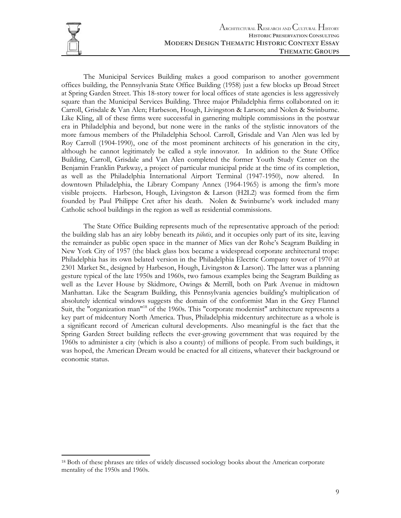

The Municipal Services Building makes a good comparison to another government offices building, the Pennsylvania State Office Building (1958) just a few blocks up Broad Street at Spring Garden Street. This 18-story tower for local offices of state agencies is less aggressively square than the Municipal Services Building. Three major Philadelphia firms collaborated on it: Carroll, Grisdale & Van Alen; Harbeson, Hough, Livingston & Larson; and Nolen & Swinburne. Like Kling, all of these firms were successful in garnering multiple commissions in the postwar era in Philadelphia and beyond, but none were in the ranks of the stylistic innovators of the more famous members of the Philadelphia School. Carroll, Grisdale and Van Alen was led by Roy Carroll (1904-1990), one of the most prominent architects of his generation in the city, although he cannot legitimately be called a style innovator. In addition to the State Office Building, Carroll, Grisdale and Van Alen completed the former Youth Study Center on the Benjamin Franklin Parkway, a project of particular municipal pride at the time of its completion, as well as the Philadelphia International Airport Terminal (1947-1950), now altered. In downtown Philadelphia, the Library Company Annex (1964-1965) is among the firm's more visible projects. Harbeson, Hough, Livingston & Larson (H2L2) was formed from the firm founded by Paul Philippe Cret after his death. Nolen & Swinburne's work included many Catholic school buildings in the region as well as residential commissions.

The State Office Building represents much of the representative approach of the period: the building slab has an airy lobby beneath its *pilotis*, and it occupies only part of its site, leaving the remainder as public open space in the manner of Mies van der Rohe's Seagram Building in New York City of 1957 (the black glass box became a widespread corporate architectural trope: Philadelphia has its own belated version in the Philadelphia Electric Company tower of 1970 at 2301 Market St., designed by Harbeson, Hough, Livingston & Larson). The latter was a planning gesture typical of the late 1950s and 1960s, two famous examples being the Seagram Building as well as the Lever House by Skidmore, Owings & Merrill, both on Park Avenue in midtown Manhattan. Like the Seagram Building, this Pennsylvania agencies building's multiplication of absolutely identical windows suggests the domain of the conformist Man in the Grey Flannel Suit, the "organization man"<sup>18</sup> of the 1960s. This "corporate modernist" architecture represents a key part of midcentury North America. Thus, Philadelphia midcentury architecture as a whole is a significant record of American cultural developments. Also meaningful is the fact that the Spring Garden Street building reflects the ever-growing government that was required by the 1960s to administer a city (which is also a county) of millions of people. From such buildings, it was hoped, the American Dream would be enacted for all citizens, whatever their background or economic status.

<sup>18</sup> Both of these phrases are titles of widely discussed sociology books about the American corporate mentality of the 1950s and 1960s.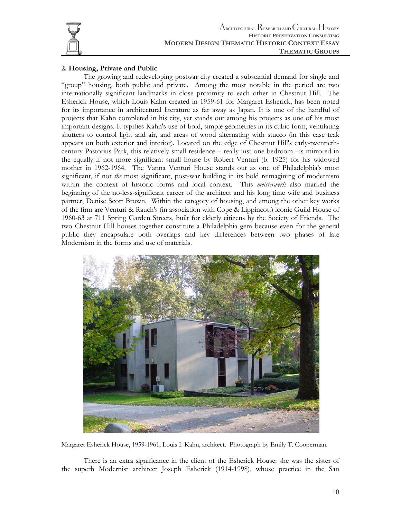

## **2. Housing, Private and Public**

The growing and redeveloping postwar city created a substantial demand for single and "group" housing, both public and private. Among the most notable in the period are two internationally significant landmarks in close proximity to each other in Chestnut Hill. The Esherick House, which Louis Kahn created in 1959-61 for Margaret Esherick, has been noted for its importance in architectural literature as far away as Japan. It is one of the handful of projects that Kahn completed in his city, yet stands out among his projects as one of his most important designs. It typifies Kahn's use of bold, simple geometries in its cubic form, ventilating shutters to control light and air, and areas of wood alternating with stucco (in this case teak appears on both exterior and interior). Located on the edge of Chestnut Hill's early-twentiethcentury Pastorius Park, this relatively small residence – really just one bedroom –is mirrored in the equally if not more significant small house by Robert Venturi (b. 1925) for his widowed mother in 1962-1964. The Vanna Venturi House stands out as one of Philadelphia's most significant, if not *the* most significant, post-war building in its bold reimagining of modernism within the context of historic forms and local context. This *meisterwerk* also marked the beginning of the no-less-significant career of the architect and his long time wife and business partner, Denise Scott Brown. Within the category of housing, and among the other key works of the firm are Venturi & Rauch's (in association with Cope & Lippincott) iconic Guild House of 1960-63 at 711 Spring Garden Streets, built for elderly citizens by the Society of Friends. The two Chestnut Hill houses together constitute a Philadelphia gem because even for the general public they encapsulate both overlaps and key differences between two phases of late Modernism in the forms and use of materials.



Margaret Esherick House, 1959-1961, Louis I. Kahn, architect. Photograph by Emily T. Cooperman.

There is an extra significance in the client of the Esherick House: she was the sister of the superb Modernist architect Joseph Esherick (1914-1998), whose practice in the San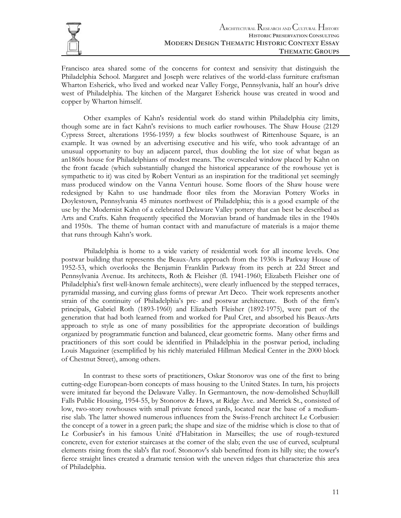

Francisco area shared some of the concerns for context and sensivity that distinguish the Philadelphia School. Margaret and Joseph were relatives of the world-class furniture craftsman Wharton Esherick, who lived and worked near Valley Forge, Pennsylvania, half an hour's drive west of Philadelphia. The kitchen of the Margaret Esherick house was created in wood and copper by Wharton himself.

Other examples of Kahn's residential work do stand within Philadelphia city limits, though some are in fact Kahn's revisions to much earlier rowhouses. The Shaw House (2129 Cypress Street, alterations 1956-1959) a few blocks southwest of Rittenhouse Square, is an example. It was owned by an advertising executive and his wife, who took advantage of an unusual opportunity to buy an adjacent parcel, thus doubling the lot size of what began as an1860s house for Philadelphians of modest means. The overscaled window placed by Kahn on the front facade (which substantially changed the historical appearance of the rowhouse yet is sympathetic to it) was cited by Robert Venturi as an inspiration for the traditional yet seemingly mass produced window on the Vanna Venturi house. Some floors of the Shaw house were redesigned by Kahn to use handmade floor tiles from the Moravian Pottery Works in Doylestown, Pennsylvania 45 minutes northwest of Philadelphia; this is a good example of the use by the Modernist Kahn of a celebrated Delaware Valley pottery that can best be described as Arts and Crafts. Kahn frequently specified the Moravian brand of handmade tiles in the 1940s and 1950s. The theme of human contact with and manufacture of materials is a major theme that runs through Kahn's work.

Philadelphia is home to a wide variety of residential work for all income levels. One postwar building that represents the Beaux-Arts approach from the 1930s is Parkway House of 1952-53, which overlooks the Benjamin Franklin Parkway from its perch at 22d Street and Pennsylvania Avenue. Its architects, Roth & Fleisher (fl. 1941-1960; Elizabeth Fleisher one of Philadelphia's first well-known female architects), were clearly influenced by the stepped terraces, pyramidal massing, and curving glass forms of prewar Art Deco. Their work represents another strain of the continuity of Philadelphia's pre- and postwar architecture. Both of the firm's principals, Gabriel Roth (1893-1960) and Elizabeth Fleisher (1892-1975), were part of the generation that had both learned from and worked for Paul Cret, and absorbed his Beaux-Arts approach to style as one of many possibilities for the appropriate decoration of buildings organized by programmatic function and balanced, clear geometric forms. Many other firms and practitioners of this sort could be identified in Philadelphia in the postwar period, including Louis Magaziner (exemplified by his richly materialed Hillman Medical Center in the 2000 block of Chestnut Street), among others.

In contrast to these sorts of practitioners, Oskar Stonorov was one of the first to bring cutting-edge European-born concepts of mass housing to the United States. In turn, his projects were imitated far beyond the Delaware Valley. In Germantown, the now-demolished Schuylkill Falls Public Housing, 1954-55, by Stonorov & Haws, at Ridge Ave. and Merrick St., consisted of low, two-story rowhouses with small private fenced yards, located near the base of a mediumrise slab. The latter showed numerous influences from the Swiss-French architect Le Corbusier: the concept of a tower in a green park; the shape and size of the midrise which is close to that of Le Corbusier's in his famous Unité d'Habitation in Marseilles; the use of rough-textured concrete, even for exterior staircases at the corner of the slab; even the use of curved, sculptural elements rising from the slab's flat roof. Stonorov's slab benefitted from its hilly site; the tower's fierce straight lines created a dramatic tension with the uneven ridges that characterize this area of Philadelphia.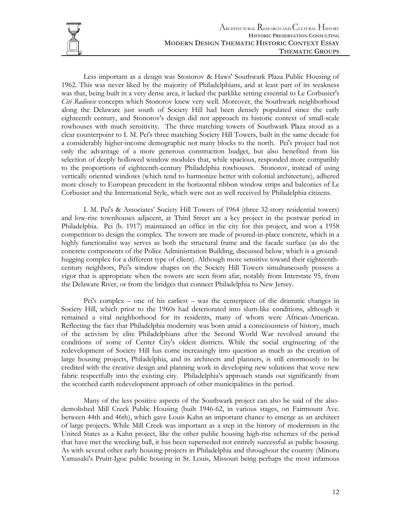

Less important as a design was Stonorov & Haws' Southwark Plaza Public Housing of 1962. This was never liked by the majority of Philadelphians, and at least part of its weakness was that, being built in a very dense area, it lacked the parklike setting essential to Le Corbusier's *Cité Radieuse* concepts which Stonorov knew very well. Moreover, the Southwark neighborhood along the Delaware just south of Society Hill had been densely populated since the early eighteenth century, and Stonorov's design did not approach its historic context of small-scale rowhouses with much sensitivity. The three matching towers of Southwark Plaza stood as a clear counterpoint to I. M. Pei's three matching Society Hill Towers, built in the same decade for a considerably higher-income demographic not many blocks to the north. Pei's project had not only the advantage of a more generous construction budget, but also benefited from his selection of deeply hollowed window modules that, while spacious, responded more compatibly to the proportions of eighteenth-century Philadelphia rowhouses. Stonorov, instead of using vertically oriented windows (which tend to harmonize better with colonial architecture), adhered more closely to European precedent in the horizontal ribbon window strips and balconies of Le Corbusier and the International Style, which were not as well received by Philadelphia citizens.

I. M. Pei's & Associates' Society Hill Towers of 1964 (three 32-story residential towers) and low-rise townhouses adjacent, at Third Street are a key project in the postwar period in Philadelphia. Pei (b. 1917) maintained an office in the city for this project, and won a 1958 competition to design the complex. The towers are made of poured-in-place concrete, which in a highly functionalist way serves as both the structural frame and the facade surface (as do the concrete components of the Police Administration Building, discussed below, which is a groundhugging complex for a different type of client). Although more sensitive toward their eighteenthcentury neighbors, Pei's window shapes on the Society Hill Towers simultaneously possess a vigor that is appropriate when the towers are seen from afar, notably from Interstate 95, from the Delaware River, or from the bridges that connect Philadelphia to New Jersey.

Pei's complex – one of his earliest – was the centerpiece of the dramatic changes in Society Hill, which prior to the 1960s had deteriorated into slum-like conditions, although it remained a vital neighborhood for its residents, many of whom were African-American. Reflecting the fact that Philadelphia modernity was born amid a consciousness of history, much of the activism by elite Philadelphians after the Second World War revolved around the conditions of some of Center City's oldest districts. While the social engineering of the redevelopment of Society Hill has come increasingly into question as much as the creation of large housing projects, Philadelphia, and its architects and planners, is still enormously to be credited with the creative design and planning work in developing new solutions that wove new fabric respectfully into the existing city. Philadelphia's approach stands out significantly from the scorched earth redevelopment approach of other municipalities in the period.

Many of the less positive aspects of the Southwark project can also be said of the alsodemolished Mill Creek Public Housing (built 1946-62, in various stages, on Fairmount Ave. between 44th and 46th), which gave Louis Kahn an important chance to emerge as an architect of large projects. While Mill Creek was important as a step in the history of modernism in the United States as a Kahn project, like the other public housing high-rise schemes of the period that have met the wrecking ball, it has been superseded not entirely successful as public housing. As with several other early housing projects in Philadelphia and throughout the country (Minoru Yamasaki's Pruitt-Igoe public housing in St. Louis, Missouri being perhaps the most infamous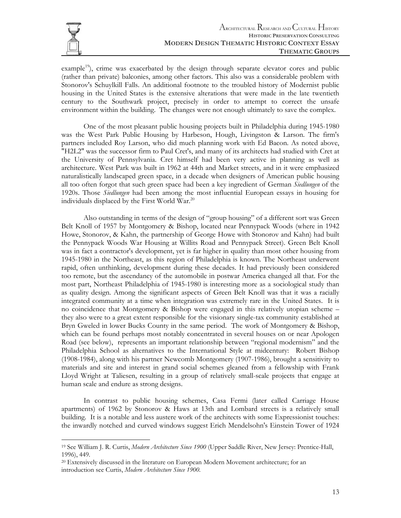

example<sup>19</sup>), crime was exacerbated by the design through separate elevator cores and public (rather than private) balconies, among other factors. This also was a considerable problem with Stonorov's Schuylkill Falls. An additional footnote to the troubled history of Modernist public housing in the United States is the extensive alterations that were made in the late twentieth century to the Southwark project, precisely in order to attempt to correct the unsafe environment within the building. The changes were not enough ultimately to save the complex.

One of the most pleasant public housing projects built in Philadelphia during 1945-1980 was the West Park Public Housing by Harbeson, Hough, Livingston & Larson. The firm's partners included Roy Larson, who did much planning work with Ed Bacon. As noted above, "H2L2" was the successor firm to Paul Cret's, and many of its architects had studied with Cret at the University of Pennsylvania. Cret himself had been very active in planning as well as architecture. West Park was built in 1962 at 44th and Market streets, and in it were emphasized naturalistically landscaped green space, in a decade when designers of American public housing all too often forgot that such green space had been a key ingredient of German *Siedlungen* of the 1920s. Those *Siedlungen* had been among the most influential European essays in housing for individuals displaced by the First World War.<sup>20</sup>

Also outstanding in terms of the design of "group housing" of a different sort was Green Belt Knoll of 1957 by Montgomery & Bishop, located near Pennypack Woods (where in 1942 Howe, Stonorov, & Kahn, the partnership of George Howe with Stonorov and Kahn) had built the Pennypack Woods War Housing at Willits Road and Pennypack Street). Green Belt Knoll was in fact a contractor's development, yet is far higher in quality than most other housing from 1945-1980 in the Northeast, as this region of Philadelphia is known. The Northeast underwent rapid, often unthinking, development during these decades. It had previously been considered too remote, but the ascendancy of the automobile in postwar America changed all that. For the most part, Northeast Philadelphia of 1945-1980 is interesting more as a sociological study than as quality design. Among the significant aspects of Green Belt Knoll was that it was a racially integrated community at a time when integration was extremely rare in the United States. It is no coincidence that Montgomery & Bishop were engaged in this relatively utopian scheme – they also were to a great extent responsible for the visionary single-tax community established at Bryn Gweled in lower Bucks County in the same period. The work of Montgomery & Bishop, which can be found perhaps most notably concentrated in several houses on or near Apologen Road (see below), represents an important relationship between "regional modernism" and the Philadelphia School as alternatives to the International Style at midcentury: Robert Bishop (1908-1984), along with his partner Newcomb Montgomery (1907-1986), brought a sensitivity to materials and site and interest in grand social schemes gleaned from a fellowship with Frank Lloyd Wright at Taliesen, resulting in a group of relatively small-scale projects that engage at human scale and endure as strong designs.

In contrast to public housing schemes, Casa Fermi (later called Carriage House apartments) of 1962 by Stonorov & Haws at 13th and Lombard streets is a relatively small building. It is a notable and less austere work of the architects with some Expressionist touches: the inwardly notched and curved windows suggest Erich Mendelsohn's Einstein Tower of 1924

<sup>19</sup> See William J. R. Curtis, *Modern Architecture Since 1900* (Upper Saddle River, New Jersey: Prentice-Hall, 1996), 449.

<sup>20</sup> Extensively discussed in the literature on European Modern Movement architecture; for an introduction see Curtis, *Modern Architecture Since 1900.*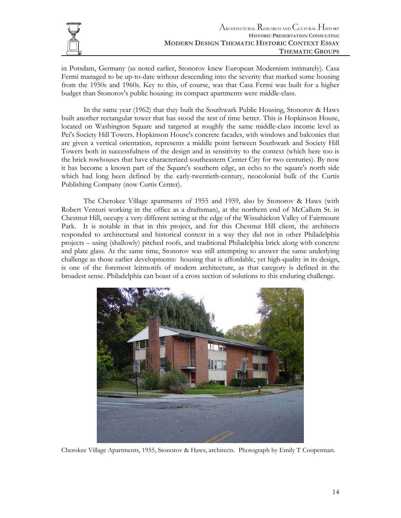

in Potsdam, Germany (as noted earlier, Stonorov knew European Modernism intimately). Casa Fermi managed to be up-to-date without descending into the severity that marked some housing from the 1950s and 1960s. Key to this, of course, was that Casa Fermi was built for a higher budget than Stonorov's public housing: its compact apartments were middle-class.

In the same year (1962) that they built the Southwark Public Housing, Stonorov & Haws built another rectangular tower that has stood the test of time better. This is Hopkinson House, located on Washington Square and targeted at roughly the same middle-class income level as Pei's Society Hill Towers. Hopkinson House's concrete facades, with windows and balconies that are given a vertical orientation, represents a middle point between Southwark and Society Hill Towers both in successfulness of the design and in sensitivity to the context (which here too is the brick rowhouses that have characterized southeastern Center City for two centuries). By now it has become a known part of the Square's southern edge, an echo to the square's north side which had long been defined by the early-twentieth-century, neocolonial bulk of the Curtis Publishing Company (now Curtis Center).

The Cherokee Village apartments of 1955 and 1959, also by Stonorov & Haws (with Robert Venturi working in the office as a draftsman), at the northern end of McCallum St. in Chestnut Hill, occupy a very different setting at the edge of the Wissahickon Valley of Fairmount Park. It is notable in that in this project, and for this Chestnut Hill client, the architects responded to architectural and historical context in a way they did not in other Philadelphia projects – using (shallowly) pitched roofs, and traditional Philadelphia brick along with concrete and plate glass. At the same time, Stonorov was still attempting to answer the same underlying challenge as those earlier developments: housing that is affordable, yet high-quality in its design, is one of the foremost leitmotifs of modern architecture, as that category is defined in the broadest sense. Philadelphia can boast of a cross section of solutions to this enduring challenge.



Cherokee Village Apartments, 1955, Stonorov & Haws, architects. Photograph by Emily T Cooperman.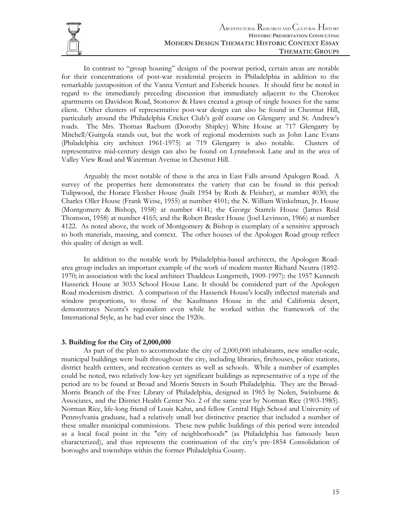

In contrast to "group housing" designs of the postwar period, certain areas are notable for their concentrations of post-war residential projects in Philadelphia in addition to the remarkable juxtaposition of the Vanna Venturi and Esherick houses. It should first be noted in regard to the immediately preceding discussion that immediately adjacent to the Cherokee apartments on Davidson Road, Stonorov & Haws created a group of single houses for the same client. Other clusters of representative post-war design can also be found in Chestnut Hill, particularly around the Philadelphia Cricket Club's golf course on Glengarry and St. Andrew's roads. The Mrs. Thomas Raeburn (Dorothy Shipley) White House at 717 Glengarry by Mitchell/Guirgola stands out, but the work of regional modernists such as John Lane Evans (Philadelphia city architect 1961-1975) at 719 Glengarry is also notable. Clusters of representative mid-century design can also be found on Lynnebrook Lane and in the area of Valley View Road and Waterman Avenue in Chestnut Hill.

Arguably the most notable of these is the area in East Falls around Apalogen Road. A survey of the properties here demonstrates the variety that can be found in this period: Tulipwood, the Horace Fleisher House (built 1954 by Roth & Fleisher), at number 4030; the Charles Oller House (Frank Weise, 1955) at number 4101; the N. William Winkelman, Jr. House (Montgomery & Bishop, 1958) at number 4141; the George Starrels House (James Reid Thomson, 1958) at number 4165; and the Robert Brasler House (Joel Levinson, 1966) at number 4122. As noted above, the work of Montgomery & Bishop is exemplary of a sensitive approach to both materials, massing, and context. The other houses of the Apologen Road group reflect this quality of design as well.

In addition to the notable work by Philadelphia-based architects, the Apologen Roadarea group includes an important example of the work of modern master Richard Neutra (1892- 1970; in association with the local architect Thaddeus Longstreth, 1909-1997): the 1957 Kenneth Hasserick House at 3033 School House Lane. It should be considered part of the Apologen Road modernism district. A comparison of the Hasserick House's locally inflected materials and window proportions, to those of the Kaufmann House in the arid California desert, demonstrates Neutra's regionalism even while he worked within the framework of the International Style, as he had ever since the 1920s.

#### **3. Building for the City of 2,000,000**

As part of the plan to accommodate the city of 2,000,000 inhabitants, new smaller-scale, municipal buildings were built throughout the city, including libraries, firehouses, police stations, district health centers, and recreation centers as well as schools. While a number of examples could be noted, two relatively low-key yet significant buildings as representative of a type of the period are to be found at Broad and Morris Streets in South Philadelphia. They are the Broad-Morris Branch of the Free Library of Philadelphia, designed in 1965 by Nolen, Swinburne & Associates, and the District Health Center No. 2 of the same year by Norman Rice (1903-1985). Norman Rice, life-long friend of Louis Kahn, and fellow Central High School and University of Pennsylvania graduate, had a relatively small but distinctive practice that included a number of these smaller municipal commissions. These new public buildings of this period were intended as a local focal point in the "city of neighborhoods" (as Philadelphia has famously been characterized), and thus represents the continuation of the city's pre-1854 Consolidation of boroughs and townships within the former Philadelphia County.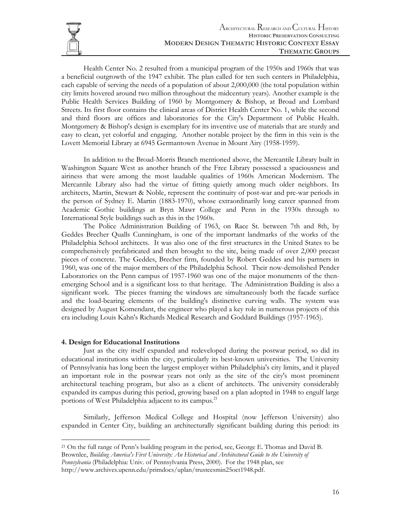

Health Center No. 2 resulted from a municipal program of the 1950s and 1960s that was a beneficial outgrowth of the 1947 exhibit. The plan called for ten such centers in Philadelphia, each capable of serving the needs of a population of about 2,000,000 (the total population within city limits hovered around two million throughout the midcentury years). Another example is the Public Health Services Building of 1960 by Montgomery & Bishop, at Broad and Lombard Streets. Its first floor contains the clinical areas of District Health Center No. 1, while the second and third floors are offices and laboratories for the City's Department of Public Health. Montgomery & Bishop's design is exemplary for its inventive use of materials that are sturdy and easy to clean, yet colorful and engaging. Another notable project by the firm in this vein is the Lovett Memorial Library at 6945 Germantown Avenue in Mount Airy (1958-1959).

In addition to the Broad-Morris Branch mentioned above, the Mercantile Library built in Washington Square West as another branch of the Free Library possessed a spaciousness and airiness that were among the most laudable qualities of 1960s American Modernism. The Mercantile Library also had the virtue of fitting quietly among much older neighbors. Its architects, Martin, Stewart & Noble, represent the continuity of post-war and pre-war periods in the person of Sydney E. Martin (1883-1970), whose extraordinarily long career spanned from Academic Gothic buildings at Bryn Mawr College and Penn in the 1930s through to International Style buildings such as this in the 1960s.

The Police Administration Building of 1963, on Race St. between 7th and 8th, by Geddes Brecher Qualls Cunningham, is one of the important landmarks of the works of the Philadelphia School architects. It was also one of the first structures in the United States to be comprehensively prefabricated and then brought to the site, being made of over 2,000 precast pieces of concrete. The Geddes, Brecher firm, founded by Robert Geddes and his partners in 1960, was one of the major members of the Philadelphia School. Their now-demolished Pender Laboratories on the Penn campus of 1957-1960 was one of the major monuments of the thenemerging School and is a significant loss to that heritage. The Administration Building is also a significant work. The pieces framing the windows are simultaneously both the facade surface and the load-bearing elements of the building's distinctive curving walls. The system was designed by August Komendant, the engineer who played a key role in numerous projects of this era including Louis Kahn's Richards Medical Research and Goddard Buildings (1957-1965).

#### **4. Design for Educational Institutions**

 $\overline{a}$ 

Just as the city itself expanded and redeveloped during the postwar period, so did its educational institutions within the city, particularly its best-known universities. The University of Pennsylvania has long been the largest employer within Philadelphia's city limits, and it played an important role in the postwar years not only as the site of the city's most prominent architectural teaching program, but also as a client of architects. The university considerably expanded its campus during this period, growing based on a plan adopted in 1948 to engulf large portions of West Philadelphia adjacent to its campus.<sup>21</sup>

Similarly, Jefferson Medical College and Hospital (now Jefferson University) also expanded in Center City, building an architecturally significant building during this period: its

<sup>21</sup> On the full range of Penn's building program in the period, see, George E. Thomas and David B. Brownlee, *Building America's First University: An Historical and Architectural Guide to the University of* 

*Pennsylvania* (Philadelphia: Univ. of Pennsylvania Press, 2000). For the 1948 plan, see

http://www.archives.upenn.edu/primdocs/uplan/trusteesmin25oct1948.pdf.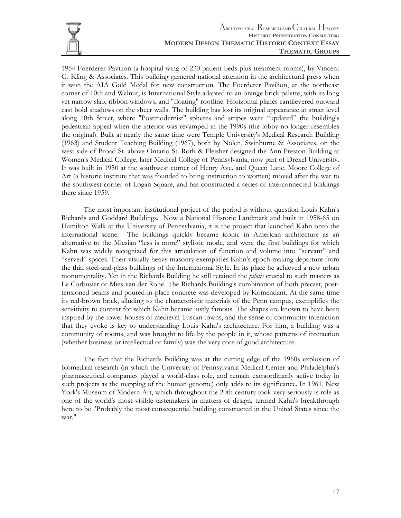

1954 Foerderer Pavilion (a hospital wing of 230 patient beds plus treatment rooms), by Vincent G. Kling & Associates. This building garnered national attention in the architectural press when it won the AIA Gold Medal for new construction. The Foerderer Pavilion, at the northeast corner of 10th and Walnut, is International Style adapted to an orange brick palette, with its long yet narrow slab, ribbon windows, and "floating" roofline. Horizontal planes cantilevered outward cast bold shadows on the sheer walls. The building has lost its original appearance at street level along 10th Street, where "Postmodernist" spheres and stripes were "updated" the building's pedestrian appeal when the interior was revamped in the 1990s (the lobby no longer resembles the original). Built at nearly the same time were Temple University's Medical Research Building (1963) and Student Teaching Building (1967), both by Nolen, Swinburne & Associates, on the west side of Broad St. above Ontario St. Roth & Fleisher designed the Ann Preston Building at Women's Medical College, later Medical College of Pennsylvania, now part of Drexel University. It was built in 1950 at the southwest corner of Henry Ave. and Queen Lane. Moore College of Art (a historic institute that was founded to bring instruction to women) moved after the war to the southwest corner of Logan Square, and has constructed a series of interconnected buildings there since 1959.

The most important institutional project of the period is without question Louis Kahn's Richards and Goddard Buildings. Now a National Historic Landmark and built in 1958-65 on Hamilton Walk at the University of Pennsylvania, it is the project that launched Kahn onto the international scene. The buildings quickly became iconic in American architecture as an alternative to the Miesian "less is more" stylistic mode, and were the first buildings for which Kahn was widely recognized for this articulation of function and volume into "servant" and "served" spaces. Their visually heavy masonry exemplifies Kahn's epoch-making departure from the thin steel-and-glass buildings of the International Style. In its place he achieved a new urban monumentality. Yet in the Richards Building he still retained the *pilotis* crucial to such masters as Le Corbusier or Mies van der Rohe. The Richards Building's combination of both precast, posttensioned beams and poured-in-place concrete was developed by Komendant. At the same time its red-brown brick, alluding to the characteristic materials of the Penn campus, exemplifies the sensitivity to context for which Kahn became justly famous. The shapes are known to have been inspired by the tower houses of medieval Tuscan towns, and the sense of community interaction that they evoke is key to understanding Louis Kahn's architecture. For him, a building was a community of rooms, and was brought to life by the people in it, whose patterns of interaction (whether business or intellectual or family) was the very core of good architecture.

The fact that the Richards Building was at the cutting edge of the 1960s explosion of biomedical research (in which the University of Pennsylvania Medical Center and Philadelphia's pharmaceutical companies played a world-class role, and remain extraordinarily active today in such projects as the mapping of the human genome) only adds to its significance. In 1961, New York's Museum of Modern Art, which throughout the 20th century took very seriously is role as one of the world's most visible tastemakers in matters of design, termed Kahn's breakthrough here to be "Probably the most consequential building constructed in the United States since the war."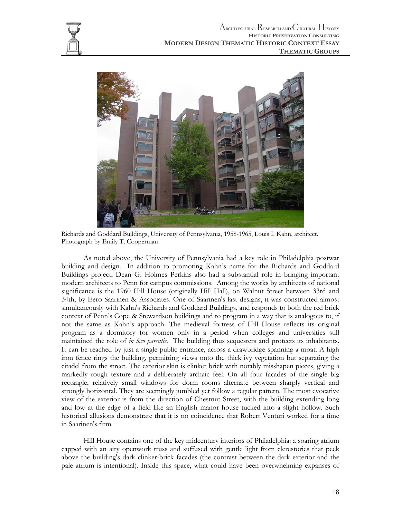



Richards and Goddard Buildings, University of Pennsylvania, 1958-1965, Louis I. Kahn, architect. Photograph by Emily T. Cooperman

As noted above, the University of Pennsylvania had a key role in Philadelphia postwar building and design. In addition to promoting Kahn's name for the Richards and Goddard Buildings project, Dean G. Holmes Perkins also had a substantial role in bringing important modern architects to Penn for campus commissions. Among the works by architects of national significance is the 1960 Hill House (originally Hill Hall), on Walnut Street between 33rd and 34th, by Eero Saarinen & Associates. One of Saarinen's last designs, it was constructed almost simultaneously with Kahn's Richards and Goddard Buildings, and responds to both the red brick context of Penn's Cope & Stewardson buildings and to program in a way that is analogous to, if not the same as Kahn's approach. The medieval fortress of Hill House reflects its original program as a dormitory for women only in a period when colleges and universities still maintained the role of *in loco parentis.* The building thus sequesters and protects its inhabitants. It can be reached by just a single public entrance, across a drawbridge spanning a moat. A high iron fence rings the building, permitting views onto the thick ivy vegetation but separating the citadel from the street. The exterior skin is clinker brick with notably misshapen pieces, giving a markedly rough texture and a deliberately archaic feel. On all four facades of the single big rectangle, relatively small windows for dorm rooms alternate between sharply vertical and strongly horizontal. They are seemingly jumbled yet follow a regular pattern. The most evocative view of the exterior is from the direction of Chestnut Street, with the building extending long and low at the edge of a field like an English manor house tucked into a slight hollow. Such historical allusions demonstrate that it is no coincidence that Robert Venturi worked for a time in Saarinen's firm.

Hill House contains one of the key midcentury interiors of Philadelphia: a soaring atrium capped with an airy openwork truss and suffused with gentle light from clerestories that peek above the building's dark clinker-brick facades (the contrast between the dark exterior and the pale atrium is intentional). Inside this space, what could have been overwhelming expanses of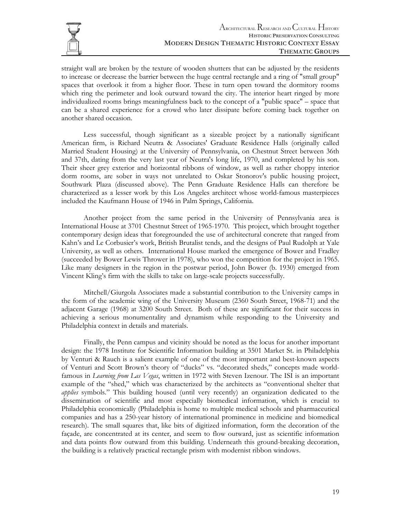

straight wall are broken by the texture of wooden shutters that can be adjusted by the residents to increase or decrease the barrier between the huge central rectangle and a ring of "small group" spaces that overlook it from a higher floor. These in turn open toward the dormitory rooms which ring the perimeter and look outward toward the city. The interior heart ringed by more individualized rooms brings meaningfulness back to the concept of a "public space" – space that can be a shared experience for a crowd who later dissipate before coming back together on another shared occasion.

Less successful, though significant as a sizeable project by a nationally significant American firm, is Richard Neutra & Associates' Graduate Residence Halls (originally called Married Student Housing) at the University of Pennsylvania, on Chestnut Street between 36th and 37th, dating from the very last year of Neutra's long life, 1970, and completed by his son. Their sheer grey exterior and horizontal ribbons of window, as well as rather choppy interior dorm rooms, are sober in ways not unrelated to Oskar Stonorov's public housing project, Southwark Plaza (discussed above). The Penn Graduate Residence Halls can therefore be characterized as a lesser work by this Los Angeles architect whose world-famous masterpieces included the Kaufmann House of 1946 in Palm Springs, California.

Another project from the same period in the University of Pennsylvania area is International House at 3701 Chestnut Street of 1965-1970. This project, which brought together contemporary design ideas that foregrounded the use of architectural concrete that ranged from Kahn's and Le Corbusier's work, British Brutalist tends, and the designs of Paul Rudolph at Yale University, as well as others. International House marked the emergence of Bower and Fradley (succeeded by Bower Lewis Thrower in 1978), who won the competition for the project in 1965. Like many designers in the region in the postwar period, John Bower (b. 1930) emerged from Vincent Kling's firm with the skills to take on large-scale projects successfully.

Mitchell/Giurgola Associates made a substantial contribution to the University camps in the form of the academic wing of the University Museum (2360 South Street, 1968-71) and the adjacent Garage (1968) at 3200 South Street. Both of these are significant for their success in achieving a serious monumentality and dynamism while responding to the University and Philadelphia context in details and materials.

Finally, the Penn campus and vicinity should be noted as the locus for another important design: the 1978 Institute for Scientific Information building at 3501 Market St. in Philadelphia by Venturi & Rauch is a salient example of one of the most important and best-known aspects of Venturi and Scott Brown's theory of "ducks" vs. "decorated sheds," concepts made worldfamous in *Learning from Las Vegas*, written in 1972 with Steven Izenour. The ISI is an important example of the "shed," which was characterized by the architects as "conventional shelter that *applies* symbols." This building housed (until very recently) an organization dedicated to the dissemination of scientific and most especially biomedical information, which is crucial to Philadelphia economically (Philadelphia is home to multiple medical schools and pharmaceutical companies and has a 250-year history of international prominence in medicine and biomedical research). The small squares that, like bits of digitized information, form the decoration of the façade, are concentrated at its center, and seem to flow outward, just as scientific information and data points flow outward from this building. Underneath this ground-breaking decoration, the building is a relatively practical rectangle prism with modernist ribbon windows.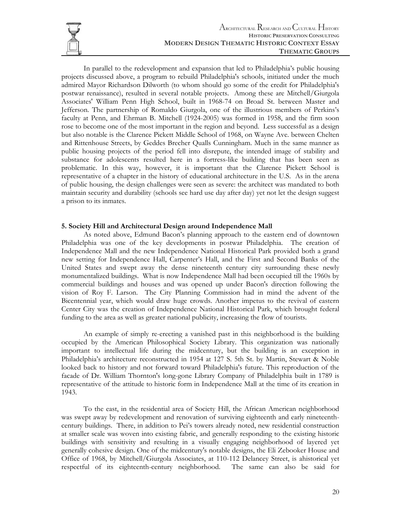

In parallel to the redevelopment and expansion that led to Philadelphia's public housing projects discussed above, a program to rebuild Philadelphia's schools, initiated under the much admired Mayor Richardson Dilworth (to whom should go some of the credit for Philadelphia's postwar renaissance), resulted in several notable projects. Among these are Mitchell/Giurgola Associates' William Penn High School, built in 1968-74 on Broad St. between Master and Jefferson. The partnership of Romaldo Giurgola, one of the illustrious members of Perkins's faculty at Penn, and Ehrman B. Mitchell (1924-2005) was formed in 1958, and the firm soon rose to become one of the most important in the region and beyond. Less successful as a design but also notable is the Clarence Pickett Middle School of 1968, on Wayne Ave. between Chelten and Rittenhouse Streets, by Geddes Brecher Qualls Cunningham. Much in the same manner as public housing projects of the period fell into disrepute, the intended image of stability and substance for adolescents resulted here in a fortress-like building that has been seen as problematic. In this way, however, it is important that the Clarence Pickett School is representative of a chapter in the history of educational architecture in the U.S. As in the arena of public housing, the design challenges were seen as severe: the architect was mandated to both maintain security and durability (schools see hard use day after day) yet not let the design suggest a prison to its inmates.

#### **5. Society Hill and Architectural Design around Independence Mall**

As noted above, Edmund Bacon's planning approach to the eastern end of downtown Philadelphia was one of the key developments in postwar Philadelphia. The creation of Independence Mall and the new Independence National Historical Park provided both a grand new setting for Independence Hall, Carpenter's Hall, and the First and Second Banks of the United States and swept away the dense nineteenth century city surrounding these newly monumentalized buildings. What is now Independence Mall had been occupied till the 1960s by commercial buildings and houses and was opened up under Bacon's direction following the vision of Roy F. Larson. The City Planning Commission had in mind the advent of the Bicentennial year, which would draw huge crowds. Another impetus to the revival of eastern Center City was the creation of Independence National Historical Park, which brought federal funding to the area as well as greater national publicity, increasing the flow of tourists.

An example of simply re-erecting a vanished past in this neighborhood is the building occupied by the American Philosophical Society Library. This organization was nationally important to intellectual life during the midcentury, but the building is an exception in Philadelphia's architecture reconstructed in 1954 at 127 S. 5th St. by Martin, Stewart & Noble looked back to history and not forward toward Philadelphia's future. This reproduction of the facade of Dr. William Thornton's long-gone Library Company of Philadelphia built in 1789 is representative of the attitude to historic form in Independence Mall at the time of its creation in 1943.

To the east, in the residential area of Society Hill, the African American neighborhood was swept away by redevelopment and renovation of surviving eighteenth and early nineteenthcentury buildings. There, in addition to Pei's towers already noted, new residential construction at smaller scale was woven into existing fabric, and generally responding to the existing historic buildings with sensitivity and resulting in a visually engaging neighborhood of layered yet generally cohesive design. One of the midcentury's notable designs, the Eli Zebooker House and Office of 1968, by Mitchell/Giurgola Associates, at 110-112 Delancey Street, is ahistorical yet respectful of its eighteenth-century neighborhood. The same can also be said for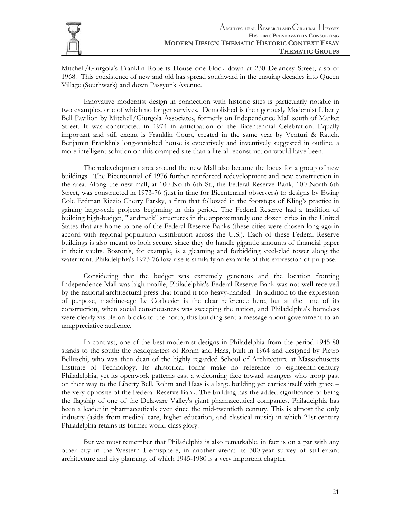

Mitchell/Giurgola's Franklin Roberts House one block down at 230 Delancey Street, also of 1968. This coexistence of new and old has spread southward in the ensuing decades into Queen Village (Southwark) and down Passyunk Avenue.

Innovative modernist design in connection with historic sites is particularly notable in two examples, one of which no longer survives. Demolished is the rigorously Modernist Liberty Bell Pavilion by Mitchell/Giurgola Associates, formerly on Independence Mall south of Market Street. It was constructed in 1974 in anticipation of the Bicentennial Celebration. Equally important and still extant is Franklin Court, created in the same year by Venturi & Rauch. Benjamin Franklin's long-vanished house is evocatively and inventively suggested in outline, a more intelligent solution on this cramped site than a literal reconstruction would have been.

The redevelopment area around the new Mall also became the locus for a group of new buildings. The Bicentennial of 1976 further reinforced redevelopment and new construction in the area. Along the new mall, at 100 North 6th St., the Federal Reserve Bank, 100 North 6th Street, was constructed in 1973-76 (just in time for Bicentennial observers) to designs by Ewing Cole Erdman Rizzio Cherry Parsky, a firm that followed in the footsteps of Kling's practice in gaining large-scale projects beginning in this period. The Federal Reserve had a tradition of building high-budget, "landmark" structures in the approximately one dozen cities in the United States that are home to one of the Federal Reserve Banks (these cities were chosen long ago in accord with regional population distribution across the U.S.). Each of these Federal Reserve buildings is also meant to look secure, since they do handle gigantic amounts of financial paper in their vaults. Boston's, for example, is a gleaming and forbidding steel-clad tower along the waterfront. Philadelphia's 1973-76 low-rise is similarly an example of this expression of purpose.

Considering that the budget was extremely generous and the location fronting Independence Mall was high-profile, Philadelphia's Federal Reserve Bank was not well received by the national architectural press that found it too heavy-handed. In addition to the expression of purpose, machine-age Le Corbusier is the clear reference here, but at the time of its construction, when social consciousness was sweeping the nation, and Philadelphia's homeless were clearly visible on blocks to the north, this building sent a message about government to an unappreciative audience.

In contrast, one of the best modernist designs in Philadelphia from the period 1945-80 stands to the south: the headquarters of Rohm and Haas, built in 1964 and designed by Pietro Belluschi, who was then dean of the highly regarded School of Architecture at Massachusetts Institute of Technology. Its ahistorical forms make no reference to eighteenth-century Philadelphia, yet its openwork patterns cast a welcoming face toward strangers who troop past on their way to the Liberty Bell. Rohm and Haas is a large building yet carries itself with grace – the very opposite of the Federal Reserve Bank. The building has the added significance of being the flagship of one of the Delaware Valley's giant pharmaceutical companies. Philadelphia has been a leader in pharmaceuticals ever since the mid-twentieth century. This is almost the only industry (aside from medical care, higher education, and classical music) in which 21st-century Philadelphia retains its former world-class glory.

But we must remember that Philadelphia is also remarkable, in fact is on a par with any other city in the Western Hemisphere, in another arena: its 300-year survey of still-extant architecture and city planning, of which 1945-1980 is a very important chapter.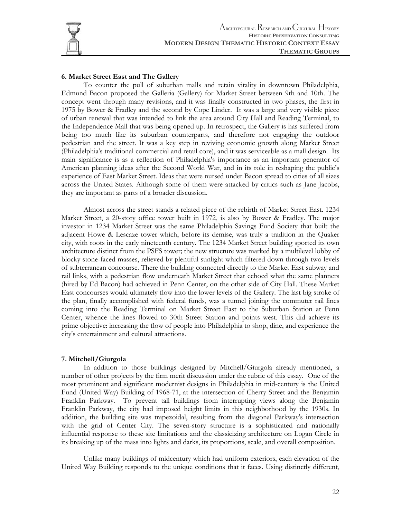

## **6. Market Street East and The Gallery**

To counter the pull of suburban malls and retain vitality in downtown Philadelphia, Edmund Bacon proposed the Galleria (Gallery) for Market Street between 9th and 10th. The concept went through many revisions, and it was finally constructed in two phases, the first in 1975 by Bower & Fradley and the second by Cope Linder. It was a large and very visible piece of urban renewal that was intended to link the area around City Hall and Reading Terminal, to the Independence Mall that was being opened up. In retrospect, the Gallery is has suffered from being too much like its suburban counterparts, and therefore not engaging the outdoor pedestrian and the street. It was a key step in reviving economic growth along Market Street (Philadelphia's traditional commercial and retail core), and it was serviceable as a mall design. Its main significance is as a reflection of Philadelphia's importance as an important generator of American planning ideas after the Second World War, and in its role in reshaping the public's experience of East Market Street. Ideas that were nursed under Bacon spread to cities of all sizes across the United States. Although some of them were attacked by critics such as Jane Jacobs, they are important as parts of a broader discussion.

Almost across the street stands a related piece of the rebirth of Market Street East. 1234 Market Street, a 20-story office tower built in 1972, is also by Bower & Fradley. The major investor in 1234 Market Street was the same Philadelphia Savings Fund Society that built the adjacent Howe & Lescaze tower which, before its demise, was truly a tradition in the Quaker city, with roots in the early nineteenth century. The 1234 Market Street building sported its own architecture distinct from the PSFS tower; the new structure was marked by a multilevel lobby of blocky stone-faced masses, relieved by plentiful sunlight which filtered down through two levels of subterranean concourse. There the building connected directly to the Market East subway and rail links, with a pedestrian flow underneath Market Street that echoed what the same planners (hired by Ed Bacon) had achieved in Penn Center, on the other side of City Hall. These Market East concourses would ultimately flow into the lower levels of the Gallery. The last big stroke of the plan, finally accomplished with federal funds, was a tunnel joining the commuter rail lines coming into the Reading Terminal on Market Street East to the Suburban Station at Penn Center, whence the lines flowed to 30th Street Station and points west. This did achieve its prime objective: increasing the flow of people into Philadelphia to shop, dine, and experience the city's entertainment and cultural attractions.

#### **7. Mitchell/Giurgola**

In addition to those buildings designed by Mitchell/Giurgola already mentioned, a number of other projects by the firm merit discussion under the rubric of this essay. One of the most prominent and significant modernist designs in Philadelphia in mid-century is the United Fund (United Way) Building of 1968-71, at the intersection of Cherry Street and the Benjamin Franklin Parkway. To prevent tall buildings from interrupting views along the Benjamin Franklin Parkway, the city had imposed height limits in this neighborhood by the 1930s. In addition, the building site was trapezoidal, resulting from the diagonal Parkway's intersection with the grid of Center City. The seven-story structure is a sophisticated and nationally influential response to these site limitations and the classicizing architecture on Logan Circle in its breaking up of the mass into lights and darks, its proportions, scale, and overall composition.

Unlike many buildings of midcentury which had uniform exteriors, each elevation of the United Way Building responds to the unique conditions that it faces. Using distinctly different,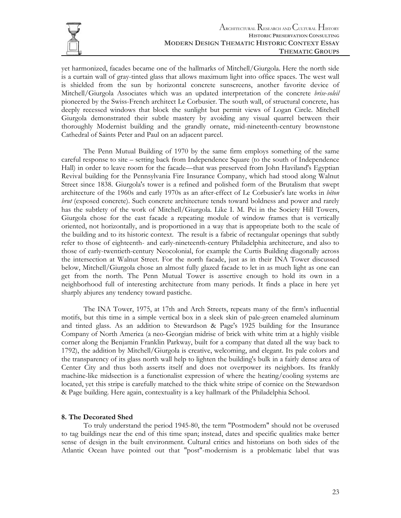

yet harmonized, facades became one of the hallmarks of Mitchell/Giurgola. Here the north side is a curtain wall of gray-tinted glass that allows maximum light into office spaces. The west wall is shielded from the sun by horizontal concrete sunscreens, another favorite device of Mitchell/Giurgola Associates which was an updated interpretation of the concrete *brise-soleil* pioneered by the Swiss-French architect Le Corbusier. The south wall, of structural concrete, has deeply recessed windows that block the sunlight but permit views of Logan Circle. Mitchell Giurgola demonstrated their subtle mastery by avoiding any visual quarrel between their thoroughly Modernist building and the grandly ornate, mid-nineteenth-century brownstone Cathedral of Saints Peter and Paul on an adjacent parcel.

The Penn Mutual Building of 1970 by the same firm employs something of the same careful response to site – setting back from Independence Square (to the south of Independence Hall) in order to leave room for the facade—that was preserved from John Haviland's Egyptian Revival building for the Pennsylvania Fire Insurance Company, which had stood along Walnut Street since 1838. Giurgola's tower is a refined and polished form of the Brutalism that swept architecture of the 1960s and early 1970s as an after-effect of Le Corbusier's late works in *béton brut* (exposed concrete). Such concrete architecture tends toward boldness and power and rarely has the subtlety of the work of Mitchell/Giurgola. Like I. M. Pei in the Society Hill Towers, Giurgola chose for the east facade a repeating module of window frames that is vertically oriented, not horizontally, and is proportioned in a way that is appropriate both to the scale of the building and to its historic context. The result is a fabric of rectangular openings that subtly refer to those of eighteenth- and early-nineteenth-century Philadelphia architecture, and also to those of early-twentieth-century Neocolonial, for example the Curtis Building diagonally across the intersection at Walnut Street. For the north facade, just as in their INA Tower discussed below, Mitchell/Giurgola chose an almost fully glazed facade to let in as much light as one can get from the north. The Penn Mutual Tower is assertive enough to hold its own in a neighborhood full of interesting architecture from many periods. It finds a place in here yet sharply abjures any tendency toward pastiche.

The INA Tower, 1975, at 17th and Arch Streets, repeats many of the firm's influential motifs, but this time in a simple vertical box in a sleek skin of pale-green enameled aluminum and tinted glass. As an addition to Stewardson & Page's 1925 building for the Insurance Company of North America (a neo-Georgian midrise of brick with white trim at a highly visible corner along the Benjamin Franklin Parkway, built for a company that dated all the way back to 1792), the addition by Mitchell/Giurgola is creative, welcoming, and elegant. Its pale colors and the transparency of its glass north wall help to lighten the building's bulk in a fairly dense area of Center City and thus both asserts itself and does not overpower its neighbors. Its frankly machine-like midsection is a functionalist expression of where the heating/cooling systems are located, yet this stripe is carefully matched to the thick white stripe of cornice on the Stewardson & Page building. Here again, contextuality is a key hallmark of the Philadelphia School.

#### **8. The Decorated Shed**

To truly understand the period 1945-80, the term "Postmodern" should not be overused to tag buildings near the end of this time span; instead, dates and specific qualities make better sense of design in the built environment. Cultural critics and historians on both sides of the Atlantic Ocean have pointed out that "post"-modernism is a problematic label that was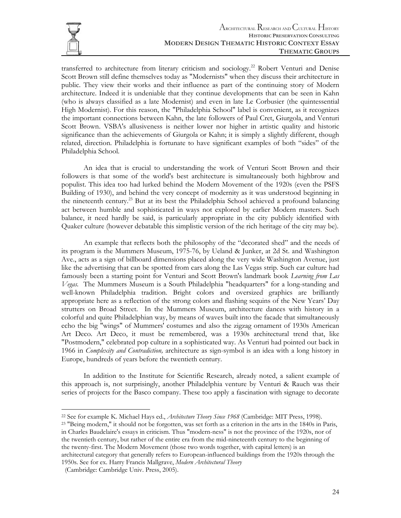

transferred to architecture from literary criticism and sociology.<sup>22</sup> Robert Venturi and Denise Scott Brown still define themselves today as "Modernists" when they discuss their architecture in public. They view their works and their influence as part of the continuing story of Modern architecture. Indeed it is undeniable that they continue developments that can be seen in Kahn (who is always classified as a late Modernist) and even in late Le Corbusier (the quintessential High Modernist). For this reason, the "Philadelphia School" label is convenient, as it recognizes the important connections between Kahn, the late followers of Paul Cret, Giurgola, and Venturi Scott Brown. VSBA's allusiveness is neither lower nor higher in artistic quality and historic significance than the achievements of Giurgola or Kahn; it is simply a slightly different, though related, direction. Philadelphia is fortunate to have significant examples of both "sides" of the Philadelphia School.

An idea that is crucial to understanding the work of Venturi Scott Brown and their followers is that some of the world's best architecture is simultaneously both highbrow and populist. This idea too had lurked behind the Modern Movement of the 1920s (even the PSFS Building of 1930), and behind the very concept of modernity as it was understood beginning in the nineteenth century.23 But at its best the Philadelphia School achieved a profound balancing act between humble and sophisticated in ways not explored by earlier Modern masters. Such balance, it need hardly be said, is particularly appropriate in the city publicly identified with Quaker culture (however debatable this simplistic version of the rich heritage of the city may be).

An example that reflects both the philosophy of the "decorated shed" and the needs of its program is the Mummers Museum, 1975-76, by Ueland & Junker, at 2d St. and Washington Ave., acts as a sign of billboard dimensions placed along the very wide Washington Avenue, just like the advertising that can be spotted from cars along the Las Vegas strip. Such car culture had famously been a starting point for Venturi and Scott Brown's landmark book *Learning from Las Vegas.* The Mummers Museum is a South Philadelphia "headquarters" for a long-standing and well-known Philadelphia tradition. Bright colors and oversized graphics are brilliantly appropriate here as a reflection of the strong colors and flashing sequins of the New Years' Day strutters on Broad Street. In the Mummers Museum, architecture dances with history in a colorful and quite Philadelphian way, by means of waves built into the facade that simultaneously echo the big "wings" of Mummers' costumes and also the zigzag ornament of 1930s American Art Deco. Art Deco, it must be remembered, was a 1930s architectural trend that, like "Postmodern," celebrated pop culture in a sophisticated way. As Venturi had pointed out back in 1966 in *Complexity and Contradiction,* architecture as sign-symbol is an idea with a long history in Europe, hundreds of years before the twentieth century.

In addition to the Institute for Scientific Research, already noted, a salient example of this approach is, not surprisingly, another Philadelphia venture by Venturi & Rauch was their series of projects for the Basco company. These too apply a fascination with signage to decorate

in Charles Baudelaire's essays in criticism. Thus "modern-ness" is not the province of the 1920s, nor of the twentieth century, but rather of the entire era from the mid-nineteenth century to the beginning of the twenty-first. The Modern Movement (those two words together, with capital letters) is an architectural category that generally refers to European-influenced buildings from the 1920s through the 1950s. See for ex. Harry Francis Mallgrave, *Modern Architectural Theory*

 $\overline{a}$ 

<sup>&</sup>lt;sup>22</sup> See for example K. Michael Hays ed., *Architecture Theory Since 1968* (Cambridge: MIT Press, 1998).<br><sup>23</sup> "Being modern," it should not be forgotten, was set forth as a criterion in the arts in the 1840s in Paris,

 <sup>(</sup>Cambridge: Cambridge Univ. Press, 2005).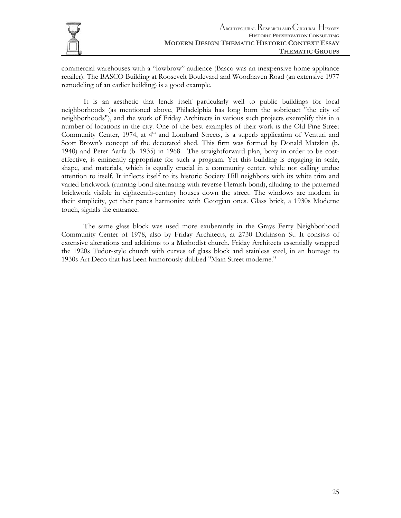

commercial warehouses with a "lowbrow" audience (Basco was an inexpensive home appliance retailer). The BASCO Building at Roosevelt Boulevard and Woodhaven Road (an extensive 1977 remodeling of an earlier building) is a good example.

It is an aesthetic that lends itself particularly well to public buildings for local neighborhoods (as mentioned above, Philadelphia has long born the sobriquet "the city of neighborhoods"), and the work of Friday Architects in various such projects exemplify this in a number of locations in the city. One of the best examples of their work is the Old Pine Street Community Center, 1974, at 4<sup>th</sup> and Lombard Streets, is a superb application of Venturi and Scott Brown's concept of the decorated shed. This firm was formed by Donald Matzkin (b. 1940) and Peter Aarfa (b. 1935) in 1968. The straightforward plan, boxy in order to be costeffective, is eminently appropriate for such a program. Yet this building is engaging in scale, shape, and materials, which is equally crucial in a community center, while not calling undue attention to itself. It inflects itself to its historic Society Hill neighbors with its white trim and varied brickwork (running bond alternating with reverse Flemish bond), alluding to the patterned brickwork visible in eighteenth-century houses down the street. The windows are modern in their simplicity, yet their panes harmonize with Georgian ones. Glass brick, a 1930s Moderne touch, signals the entrance.

The same glass block was used more exuberantly in the Grays Ferry Neighborhood Community Center of 1978, also by Friday Architects, at 2730 Dickinson St. It consists of extensive alterations and additions to a Methodist church. Friday Architects essentially wrapped the 1920s Tudor-style church with curves of glass block and stainless steel, in an homage to 1930s Art Deco that has been humorously dubbed "Main Street moderne."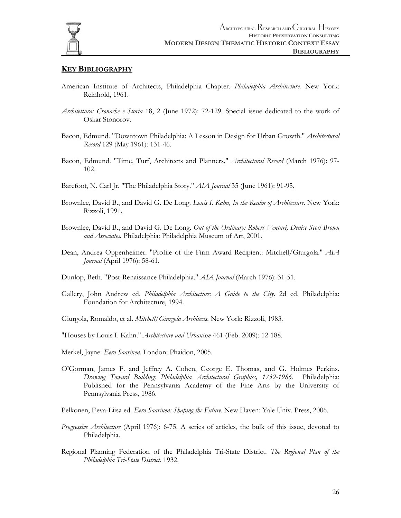

## **KEY BIBLIOGRAPHY**

- American Institute of Architects, Philadelphia Chapter. *Philadelphia Architecture.* New York: Reinhold, 1961.
- *Architettura; Cronache e Storia* 18, 2 (June 1972): 72-129. Special issue dedicated to the work of Oskar Stonorov.
- Bacon, Edmund. "Downtown Philadelphia: A Lesson in Design for Urban Growth." *Architectural Record* 129 (May 1961): 131-46.
- Bacon, Edmund. "Time, Turf, Architects and Planners." *Architectural Record* (March 1976): 97- 102.
- Barefoot, N. Carl Jr. "The Philadelphia Story." *AIA Journal* 35 (June 1961): 91-95.
- Brownlee, David B., and David G. De Long. *Louis I. Kahn, In the Realm of Architecture.* New York: Rizzoli, 1991.
- Brownlee, David B., and David G. De Long. *Out of the Ordinary: Robert Venturi, Denise Scott Brown and Associates.* Philadelphia: Philadelphia Museum of Art, 2001.
- Dean, Andrea Oppenheimer. "Profile of the Firm Award Recipient: Mitchell/Giurgola." *AIA Journal* (April 1976): 58-61.
- Dunlop, Beth. "Post-Renaissance Philadelphia." *AIA Journal* (March 1976): 31-51.
- Gallery, John Andrew ed. *Philadelphia Architecture: A Guide to the City*. 2d ed. Philadelphia: Foundation for Architecture, 1994.
- Giurgola, Romaldo, et al. *Mitchell/Giurgola Architects.* New York: Rizzoli, 1983.
- "Houses by Louis I. Kahn." *Architecture and Urbanism* 461 (Feb. 2009): 12-188.
- Merkel, Jayne. *Eero Saarinen.* London: Phaidon, 2005.
- O'Gorman, James F. and Jeffrey A. Cohen, George E. Thomas, and G. Holmes Perkins. *Drawing Toward Building: Philadelphia Architectural Graphics, 1732-1986*. Philadelphia: Published for the Pennsylvania Academy of the Fine Arts by the University of Pennsylvania Press, 1986.
- Pelkonen, Eeva-Liisa ed. *Eero Saarinen: Shaping the Future.* New Haven: Yale Univ. Press, 2006.
- *Progressive Architecture* (April 1976): 6-75. A series of articles, the bulk of this issue, devoted to Philadelphia.
- Regional Planning Federation of the Philadelphia Tri-State District. *The Regional Plan of the Philadelphia Tri-State District.* 1932.